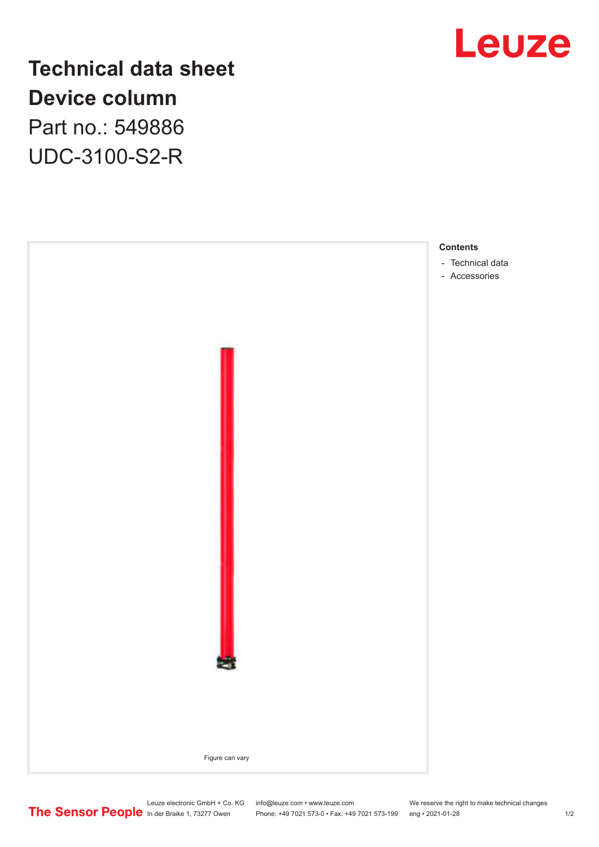

**Technical data sheet Device column** Part no.: 549886 UDC-3100-S2-R



Leuze electronic GmbH + Co. KG info@leuze.com • www.leuze.com We reserve the right to make technical changes In der Braike 1, 73277 Owen Phone: +49 7021 573-0 • Fax: +49 7021 573-199 eng • 2021-01-28 1/2